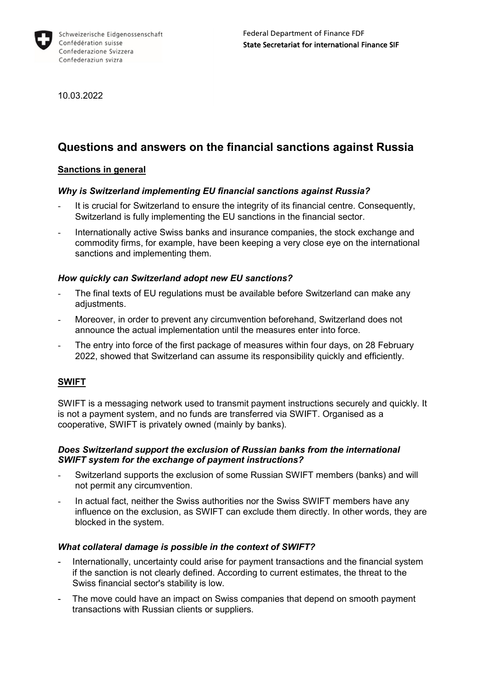

10.03.2022

# **Questions and answers on the financial sanctions against Russia**

## **Sanctions in general**

## *Why is Switzerland implementing EU financial sanctions against Russia?*

- It is crucial for Switzerland to ensure the integrity of its financial centre. Consequently, Switzerland is fully implementing the EU sanctions in the financial sector.
- Internationally active Swiss banks and insurance companies, the stock exchange and commodity firms, for example, have been keeping a very close eye on the international sanctions and implementing them.

## *How quickly can Switzerland adopt new EU sanctions?*

- The final texts of EU regulations must be available before Switzerland can make any adjustments.
- Moreover, in order to prevent any circumvention beforehand, Switzerland does not announce the actual implementation until the measures enter into force.
- The entry into force of the first package of measures within four days, on 28 February 2022, showed that Switzerland can assume its responsibility quickly and efficiently.

#### **SWIFT**

SWIFT is a messaging network used to transmit payment instructions securely and quickly. It is not a payment system, and no funds are transferred via SWIFT. Organised as a cooperative, SWIFT is privately owned (mainly by banks).

#### *Does Switzerland support the exclusion of Russian banks from the international SWIFT system for the exchange of payment instructions?*

- Switzerland supports the exclusion of some Russian SWIFT members (banks) and will not permit any circumvention.
- In actual fact, neither the Swiss authorities nor the Swiss SWIFT members have any influence on the exclusion, as SWIFT can exclude them directly. In other words, they are blocked in the system.

#### *What collateral damage is possible in the context of SWIFT?*

- Internationally, uncertainty could arise for payment transactions and the financial system if the sanction is not clearly defined. According to current estimates, the threat to the Swiss financial sector's stability is low.
- The move could have an impact on Swiss companies that depend on smooth payment transactions with Russian clients or suppliers.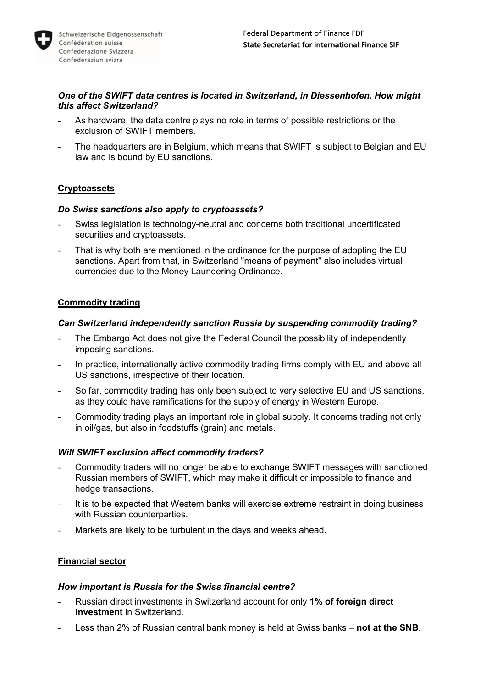

#### *One of the SWIFT data centres is located in Switzerland, in Diessenhofen. How might this affect Switzerland?*

- As hardware, the data centre plays no role in terms of possible restrictions or the exclusion of SWIFT members.
- The headquarters are in Belgium, which means that SWIFT is subject to Belgian and EU law and is bound by EU sanctions.

## **Cryptoassets**

#### *Do Swiss sanctions also apply to cryptoassets?*

- Swiss legislation is technology-neutral and concerns both traditional uncertificated securities and cryptoassets.
- That is why both are mentioned in the ordinance for the purpose of adopting the EU sanctions. Apart from that, in Switzerland "means of payment" also includes virtual currencies due to the Money Laundering Ordinance.

## **Commodity trading**

#### *Can Switzerland independently sanction Russia by suspending commodity trading?*

- The Embargo Act does not give the Federal Council the possibility of independently imposing sanctions.
- In practice, internationally active commodity trading firms comply with EU and above all US sanctions, irrespective of their location.
- So far, commodity trading has only been subject to very selective EU and US sanctions, as they could have ramifications for the supply of energy in Western Europe.
- Commodity trading plays an important role in global supply. It concerns trading not only in oil/gas, but also in foodstuffs (grain) and metals.

#### *Will SWIFT exclusion affect commodity traders?*

- Commodity traders will no longer be able to exchange SWIFT messages with sanctioned Russian members of SWIFT, which may make it difficult or impossible to finance and hedge transactions.
- It is to be expected that Western banks will exercise extreme restraint in doing business with Russian counterparties.
- Markets are likely to be turbulent in the days and weeks ahead.

#### **Financial sector**

#### *How important is Russia for the Swiss financial centre?*

- Russian direct investments in Switzerland account for only **1% of foreign direct investment** in Switzerland.
- Less than 2% of Russian central bank money is held at Swiss banks not at the SNB.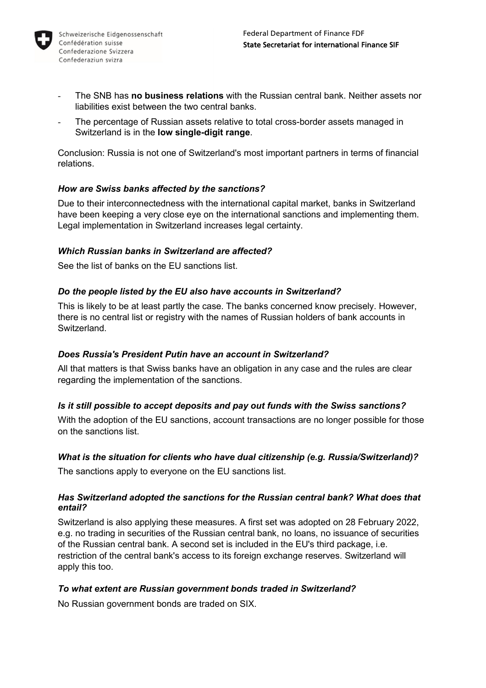

- The SNB has **no business relations** with the Russian central bank. Neither assets nor liabilities exist between the two central banks.
- The percentage of Russian assets relative to total cross-border assets managed in Switzerland is in the **low single-digit range**.

Conclusion: Russia is not one of Switzerland's most important partners in terms of financial relations.

## *How are Swiss banks affected by the sanctions?*

Due to their interconnectedness with the international capital market, banks in Switzerland have been keeping a very close eye on the international sanctions and implementing them. Legal implementation in Switzerland increases legal certainty.

## *Which Russian banks in Switzerland are affected?*

See the list of banks on the EU sanctions list.

## *Do the people listed by the EU also have accounts in Switzerland?*

This is likely to be at least partly the case. The banks concerned know precisely. However, there is no central list or registry with the names of Russian holders of bank accounts in **Switzerland** 

#### *Does Russia's President Putin have an account in Switzerland?*

All that matters is that Swiss banks have an obligation in any case and the rules are clear regarding the implementation of the sanctions.

#### *Is it still possible to accept deposits and pay out funds with the Swiss sanctions?*

With the adoption of the EU sanctions, account transactions are no longer possible for those on the sanctions list.

#### *What is the situation for clients who have dual citizenship (e.g. Russia/Switzerland)?*

The sanctions apply to everyone on the EU sanctions list.

#### *Has Switzerland adopted the sanctions for the Russian central bank? What does that entail?*

Switzerland is also applying these measures. A first set was adopted on 28 February 2022, e.g. no trading in securities of the Russian central bank, no loans, no issuance of securities of the Russian central bank. A second set is included in the EU's third package, i.e. restriction of the central bank's access to its foreign exchange reserves. Switzerland will apply this too.

#### *To what extent are Russian government bonds traded in Switzerland?*

No Russian government bonds are traded on SIX.